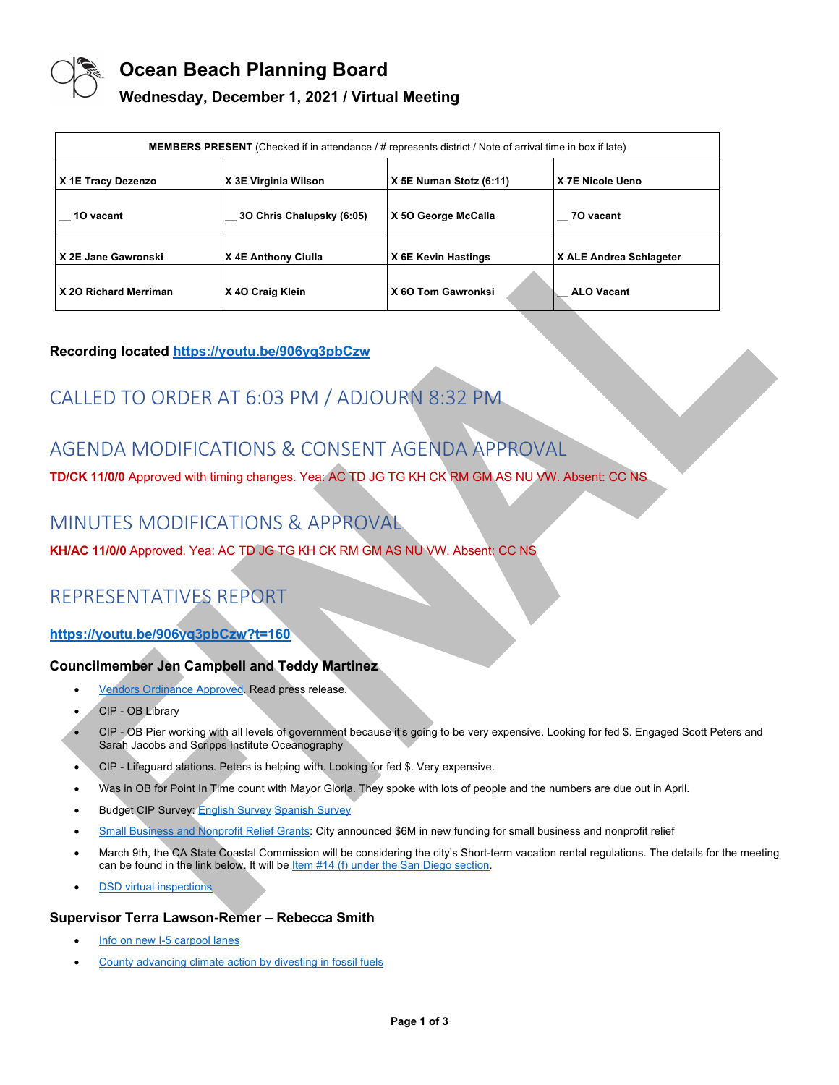

## **Ocean Beach Planning Board**

### **Wednesday, December 1, 2021 / Virtual Meeting**

| <b>MEMBERS PRESENT</b> (Checked if in attendance / # represents district / Note of arrival time in box if late) |                           |                         |                         |
|-----------------------------------------------------------------------------------------------------------------|---------------------------|-------------------------|-------------------------|
| X 1E Tracy Dezenzo                                                                                              | X 3E Virginia Wilson      | X 5E Numan Stotz (6:11) | X 7E Nicole Ueno        |
| 10 vacant                                                                                                       | 3O Chris Chalupsky (6:05) | X 50 George McCalla     | 70 vacant               |
| X 2E Jane Gawronski                                                                                             | X 4E Anthony Ciulla       | X 6E Kevin Hastings     | X ALE Andrea Schlageter |
| X 20 Richard Merriman                                                                                           | X 40 Craig Klein          | X 60 Tom Gawronksi      | <b>ALO Vacant</b>       |

### **Recording located https://youtu.be/906yq3pbCzw**

# CALLED TO ORDER AT 6:03 PM / ADJOURN 8:32 PM

# AGENDA MODIFICATIONS & CONSENT AGENDA APPROVAL

**TD/CK 11/0/0** Approved with timing changes. Yea: AC TD JG TG KH CK RM GM AS NU VW. Absent: CC NS

## MINUTES MODIFICATIONS & APPROVAL

**KH/AC 11/0/0** Approved. Yea: AC TD JG TG KH CK RM GM AS NU VW. Absent: CC NS

# REPRESENTATIVES REPORT

### **https://youtu.be/906yq3pbCzw?t=160**

### **Councilmember Jen Campbell and Teddy Martinez**

- Vendors Ordinance Approved. Read press release.
- CIP OB Library
- CIP OB Pier working with all levels of government because it's going to be very expensive. Looking for fed \$. Engaged Scott Peters and Sarah Jacobs and Scripps Institute Oceanography
- CIP Lifeguard stations. Peters is helping with. Looking for fed \$. Very expensive.
- Was in OB for Point In Time count with Mayor Gloria. They spoke with lots of people and the numbers are due out in April.
- **Budget CIP Survey: English Survey Spanish Survey**
- Small Business and Nonprofit Relief Grants: City announced \$6M in new funding for small business and nonprofit relief
- March 9th, the CA State Coastal Commission will be considering the city's Short-term vacation rental regulations. The details for the meeting can be found in the link below. It will be Item #14 (f) under the San Diego section.
- **DSD** virtual inspections

### **Supervisor Terra Lawson-Remer – Rebecca Smith**

- Info on new I-5 carpool lanes
- County advancing climate action by divesting in fossil fuels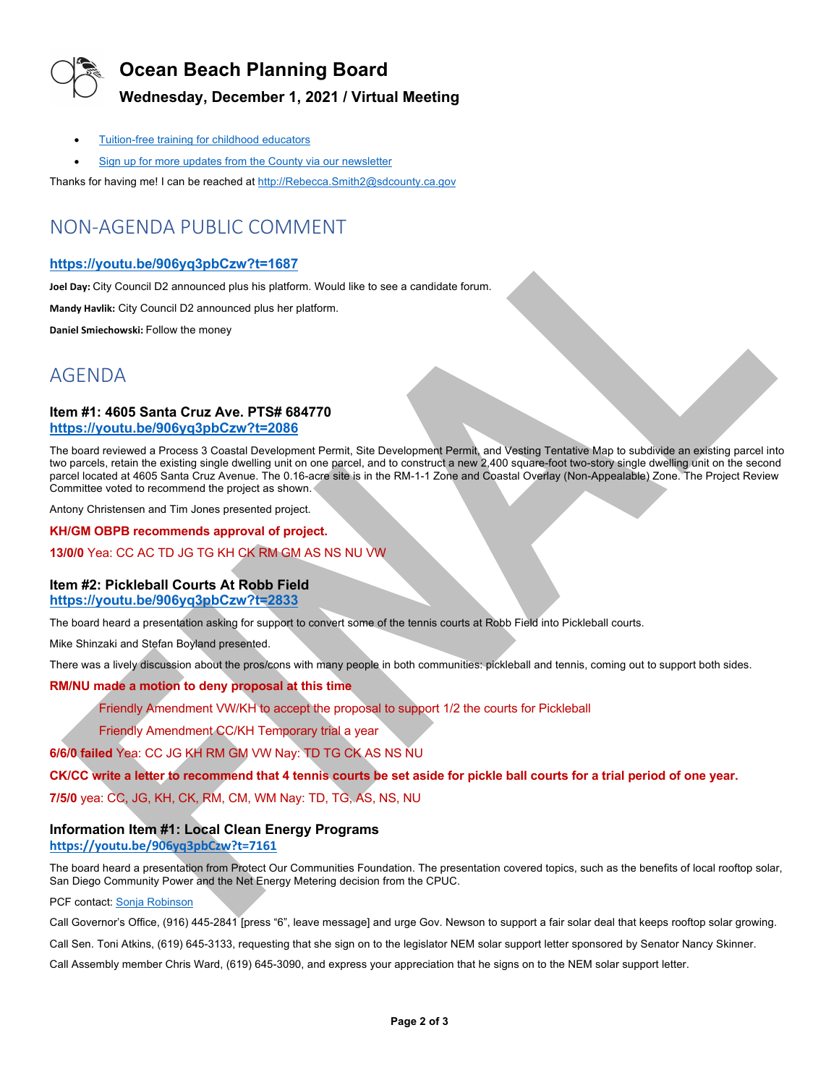

## **Ocean Beach Planning Board**

## **Wednesday, December 1, 2021 / Virtual Meeting**

- Tuition-free training for childhood educators
- Sign up for more updates from the County via our newsletter

Thanks for having me! I can be reached at http://Rebecca.Smith2@sdcounty.ca.gov

# NON-AGENDA PUBLIC COMMENT

### **https://youtu.be/906yq3pbCzw?t=1687**

**Joel Day:** City Council D2 announced plus his platform. Would like to see a candidate forum.

**Mandy Havlik:** City Council D2 announced plus her platform.

**Daniel Smiechowski:** Follow the money

## AGENDA

### **Item #1: 4605 Santa Cruz Ave. PTS# 684770 https://youtu.be/906yq3pbCzw?t=2086**

The board reviewed a Process 3 Coastal Development Permit, Site Development Permit, and Vesting Tentative Map to subdivide an existing parcel into two parcels, retain the existing single dwelling unit on one parcel, and to construct a new 2,400 square-foot two-story single dwelling unit on the second parcel located at 4605 Santa Cruz Avenue. The 0.16-acre site is in the RM-1-1 Zone and Coastal Overlay (Non-Appealable) Zone. The Project Review Committee voted to recommend the project as shown.

Antony Christensen and Tim Jones presented project.

#### **KH/GM OBPB recommends approval of project.**

### **13/0/0** Yea: CC AC TD JG TG KH CK RM GM AS NS NU VW

### **Item #2: Pickleball Courts At Robb Field https://youtu.be/906yq3pbCzw?t=2833**

The board heard a presentation asking for support to convert some of the tennis courts at Robb Field into Pickleball courts.

Mike Shinzaki and Stefan Boyland presented.

There was a lively discussion about the pros/cons with many people in both communities: pickleball and tennis, coming out to support both sides.

### **RM/NU made a motion to deny proposal at this time**

Friendly Amendment VW/KH to accept the proposal to support 1/2 the courts for Pickleball

Friendly Amendment CC/KH Temporary trial a year

**6/6/0 failed** Yea: CC JG KH RM GM VW Nay: TD TG CK AS NS NU

**CK/CC write a letter to recommend that 4 tennis courts be set aside for pickle ball courts for a trial period of one year.** 

**7/5/0** yea: CC, JG, KH, CK, RM, CM, WM Nay: TD, TG, AS, NS, NU

### **Information Item #1: Local Clean Energy Programs**

### **https://youtu.be/906yq3pbCzw?t=7161**

The board heard a presentation from Protect Our Communities Foundation. The presentation covered topics, such as the benefits of local rooftop solar, San Diego Community Power and the Net Energy Metering decision from the CPUC.

#### PCF contact: Sonja Robinson

Call Governor's Office, (916) 445-2841 [press "6", leave message] and urge Gov. Newson to support a fair solar deal that keeps rooftop solar growing.

Call Sen. Toni Atkins, (619) 645-3133, requesting that she sign on to the legislator NEM solar support letter sponsored by Senator Nancy Skinner.

Call Assembly member Chris Ward, (619) 645-3090, and express your appreciation that he signs on to the NEM solar support letter.